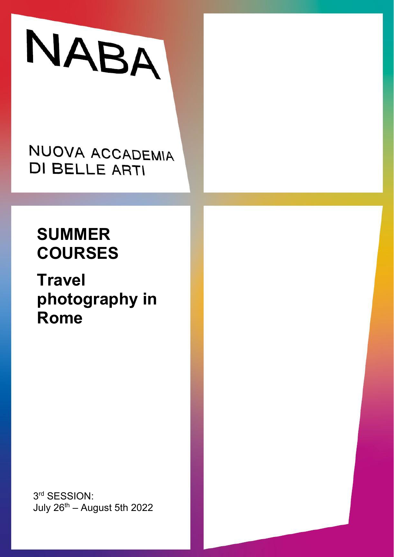# NABA

NUOVA ACCADEMIA **DI BELLE ARTI** 

# **SUMMER COURSES**

**Travel photography in Rome**

3rd SESSION: July  $26^{th}$  – August 5th 2022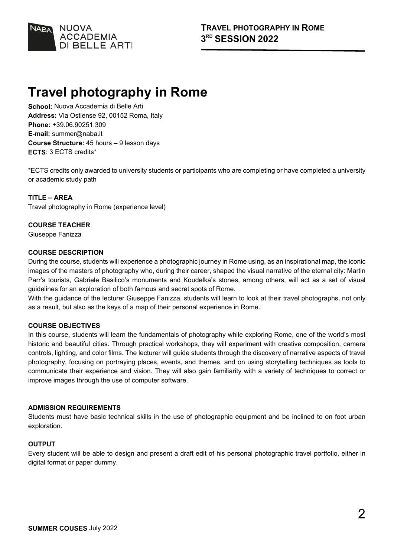

## **Travel photography in Rome**

**School:** Nuova Accademia di Belle Arti **Address:** Via Ostiense 92, 00152 Roma, Italy **Phone:** +39.06.90251.309 **E-mail:** summer@naba.it **Course Structure:** 45 hours – 9 lesson days **ECTS**: 3 ECTS credits\*

\*ECTS credits only awarded to university students or participants who are completing or have completed a university or academic study path

#### **TITLE – AREA**

Travel photography in Rome (experience level)

### **COURSE TEACHER**

Giuseppe Fanizza

#### **COURSE DESCRIPTION**

During the course, students will experience a photographic journey in Rome using, as an inspirational map, the iconic images of the masters of photography who, during their career, shaped the visual narrative of the eternal city: Martin Parr's tourists, Gabriele Basilico's monuments and Koudelka's stones, among others, will act as a set of visual guidelines for an exploration of both famous and secret spots of Rome.

With the guidance of the lecturer Giuseppe Fanizza, students will learn to look at their travel photographs, not only as a result, but also as the keys of a map of their personal experience in Rome.

#### **COURSE OBJECTIVES**

In this course, students will learn the fundamentals of photography while exploring Rome, one of the world's most historic and beautiful cities. Through practical workshops, they will experiment with creative composition, camera controls, lighting, and color films. The lecturer will guide students through the discovery of narrative aspects of travel photography, focusing on portraying places, events, and themes, and on using storytelling techniques as tools to communicate their experience and vision. They will also gain familiarity with a variety of techniques to correct or improve images through the use of computer software.

#### **ADMISSION REQUIREMENTS**

Students must have basic technical skills in the use of photographic equipment and be inclined to on foot urban exploration.

#### **OUTPUT**

Every student will be able to design and present a draft edit of his personal photographic travel portfolio, either in digital format or paper dummy.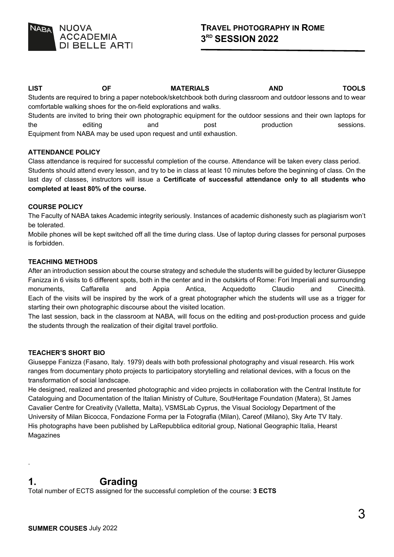

**LIST OF MATERIALS AND TOOLS**  Students are required to bring a paper notebook/sketchbook both during classroom and outdoor lessons and to wear

comfortable walking shoes for the on-field explorations and walks. Students are invited to bring their own photographic equipment for the outdoor sessions and their own laptops for the editing and post production sessions. Equipment from NABA may be used upon request and until exhaustion.

#### **ATTENDANCE POLICY**

Class attendance is required for successful completion of the course. Attendance will be taken every class period. Students should attend every lesson, and try to be in class at least 10 minutes before the beginning of class. On the last day of classes, instructors will issue a **Certificate of successful attendance only to all students who completed at least 80% of the course.**

#### **COURSE POLICY**

The Faculty of NABA takes Academic integrity seriously. Instances of academic dishonesty such as plagiarism won't be tolerated.

Mobile phones will be kept switched off all the time during class. Use of laptop during classes for personal purposes is forbidden.

#### **TEACHING METHODS**

After an introduction session about the course strategy and schedule the students will be guided by lecturer Giuseppe Fanizza in 6 visits to 6 different spots, both in the center and in the outskirts of Rome: Fori Imperiali and surrounding monuments, Caffarella and Appia Antica, Acquedotto Claudio and Cinecittà. Each of the visits will be inspired by the work of a great photographer which the students will use as a trigger for starting their own photographic discourse about the visited location.

The last session, back in the classroom at NABA, will focus on the editing and post-production process and guide the students through the realization of their digital travel portfolio.

#### **TEACHER'S SHORT BIO**

Giuseppe Fanizza (Fasano, Italy. 1979) deals with both professional photography and visual research. His work ranges from documentary photo projects to participatory storytelling and relational devices, with a focus on the transformation of social landscape.

He designed, realized and presented photographic and video projects in collaboration with the Central Institute for Cataloguing and Documentation of the Italian Ministry of Culture, SoutHeritage Foundation (Matera), St James Cavalier Centre for Creativity (Valletta, Malta), VSMSLab Cyprus, the Visual Sociology Department of the University of Milan Bicocca, Fondazione Forma per la Fotografia (Milan), Careof (Milano), Sky Arte TV Italy. His photographs have been published by LaRepubblica editorial group, National Geographic Italia, Hearst Magazines

## **1. Grading**

Total number of ECTS assigned for the successful completion of the course: **3 ECTS**

.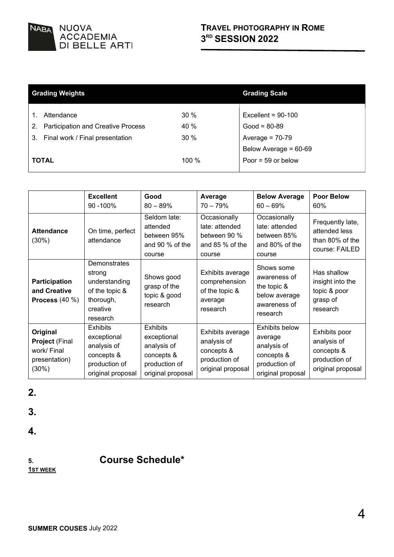

|              | <b>Grading Weights</b>                    | <b>Grading Scale</b> |                       |
|--------------|-------------------------------------------|----------------------|-----------------------|
|              |                                           |                      |                       |
|              | Attendance                                | $30\%$               | Excellent = $90-100$  |
| 2.           | <b>Participation and Creative Process</b> | 40 %                 | $Good = 80-89$        |
| 3.           | Final work / Final presentation           | $30\%$               | Average = $70-79$     |
|              |                                           |                      | Below Average = 60-69 |
| <b>TOTAL</b> |                                           | 100%                 | Poor = $59$ or below  |

|                                                                            | <b>Excellent</b><br>90 -100%                                                                      | Good<br>$80 - 89%$                                                                                | Average<br>$70 - 79%$                                                               | <b>Below Average</b><br>$60 - 69%$                                                                  | <b>Poor Below</b><br>60%                                                         |
|----------------------------------------------------------------------------|---------------------------------------------------------------------------------------------------|---------------------------------------------------------------------------------------------------|-------------------------------------------------------------------------------------|-----------------------------------------------------------------------------------------------------|----------------------------------------------------------------------------------|
| <b>Attendance</b><br>$(30\%)$                                              | On time, perfect<br>attendance                                                                    | Seldom late:<br>attended<br>between 95%<br>and 90 % of the<br>course                              | Occasionally<br>late: attended<br>between 90 %<br>and $85\%$ of the<br>course       | Occasionally<br>late: attended<br>between 85%<br>and 80% of the<br>course                           | Frequently late,<br>attended less<br>than 80% of the<br>course: FAILED           |
| <b>Participation</b><br>and Creative<br>Process $(40\%)$                   | Demonstrates<br>strong<br>understanding<br>of the topic &<br>thorough,<br>creative<br>research    | Shows good<br>grasp of the<br>topic & good<br>research                                            | Exhibits average<br>comprehension<br>of the topic &<br>average<br>research          | Shows some<br>awareness of<br>the topic &<br>below average<br>awareness of<br>research              | Has shallow<br>insight into the<br>topic & poor<br>grasp of<br>research          |
| Original<br><b>Project (Final</b><br>work/ Final<br>presentation)<br>(30%) | <b>Exhibits</b><br>exceptional<br>analysis of<br>concepts &<br>production of<br>original proposal | <b>Exhibits</b><br>exceptional<br>analysis of<br>concepts &<br>production of<br>original proposal | Exhibits average<br>analysis of<br>concepts &<br>production of<br>original proposal | <b>Exhibits below</b><br>average<br>analysis of<br>concepts &<br>production of<br>original proposal | Exhibits poor<br>analysis of<br>concepts &<br>production of<br>original proposal |

**2.**

**3.**

**4.**

**5. Course Schedule\*** 

**1ST WEEK**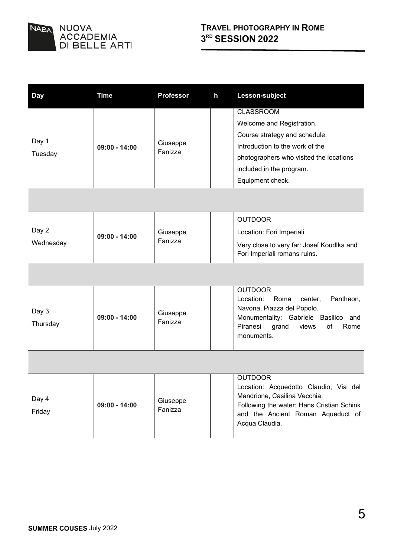

| <b>Day</b>         | <b>Time</b>     | <b>Professor</b>    | h | Lesson-subject                                                                                                                                                                                               |
|--------------------|-----------------|---------------------|---|--------------------------------------------------------------------------------------------------------------------------------------------------------------------------------------------------------------|
| Day 1<br>Tuesday   | $09:00 - 14:00$ | Giuseppe<br>Fanizza |   | <b>CLASSROOM</b><br>Welcome and Registration.<br>Course strategy and schedule.<br>Introduction to the work of the<br>photographers who visited the locations<br>included in the program.<br>Equipment check. |
|                    |                 |                     |   |                                                                                                                                                                                                              |
| Day 2<br>Wednesday | $09:00 - 14:00$ | Giuseppe<br>Fanizza |   | <b>OUTDOOR</b><br>Location: Fori Imperiali<br>Very close to very far: Josef Koudlka and<br>Fori Imperiali romans ruins.                                                                                      |
|                    |                 |                     |   |                                                                                                                                                                                                              |
| Day 3<br>Thursday  | $09:00 - 14:00$ | Giuseppe<br>Fanizza |   | <b>OUTDOOR</b><br>Location:<br>Pantheon,<br>Roma<br>center.<br>Navona, Piazza del Popolo.<br>Monumentality: Gabriele Basilico<br>and<br>Piranesi<br>grand<br>of<br>views<br>Rome<br>monuments.               |
|                    |                 |                     |   |                                                                                                                                                                                                              |
| Day 4<br>Friday    | $09:00 - 14:00$ | Giuseppe<br>Fanizza |   | <b>OUTDOOR</b><br>Location: Acquedotto Claudio, Via del<br>Mandrione, Casilina Vecchia.<br>Following the water: Hans Cristian Schink<br>and the Ancient Roman Aqueduct of<br>Acqua Claudia.                  |